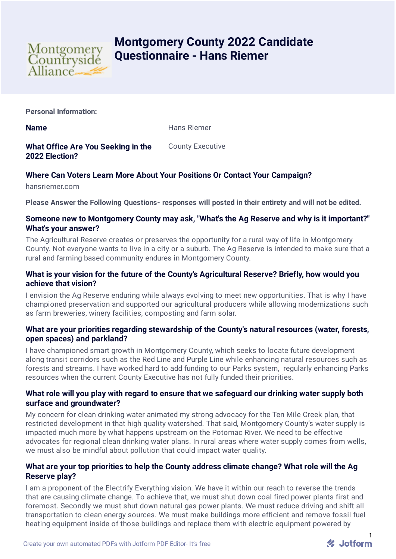

# **Montgomery County 2022 Candidate Questionnaire - Hans Riemer**

**Personal Information:**

**Name** Hans Riemer

**What Office Are You Seeking in the 2022 Election?** County Executive

# **Where Can Voters Learn More About Your Positions Or Contact Your Campaign?**

hansriemer.com

**Please Answer the Following Questions- responses will posted in their entirety and will not be edited.**

## **Someone new to Montgomery County may ask, "What's the Ag Reserve and why is it important?" What's your answer?**

The Agricultural Reserve creates or preserves the opportunity for a rural way of life in Montgomery County. Not everyone wants to live in a city or a suburb. The Ag Reserve is intended to make sure that a rural and farming based community endures in Montgomery County.

## **What is your vision for the future of the County's Agricultural Reserve? Briefly, how would you achieve that vision?**

I envision the Ag Reserve enduring while always evolving to meet new opportunities. That is why I have championed preservation and supported our agricultural producers while allowing modernizations such as farm breweries, winery facilities, composting and farm solar.

## **What are your priorities regarding stewardship of the County's natural resources (water, forests, open spaces) and parkland?**

I have championed smart growth in Montgomery County, which seeks to locate future development along transit corridors such as the Red Line and Purple Line while enhancing natural resources such as forests and streams. I have worked hard to add funding to our Parks system, regularly enhancing Parks resources when the current County Executive has not fully funded their priorities.

# **What role will you play with regard to ensure that we safeguard our drinking water supply both surface and groundwater?**

My concern for clean drinking water animated my strong advocacy for the Ten Mile Creek plan, that restricted development in that high quality watershed. That said, Montgomery County's water supply is impacted much more by what happens upstream on the Potomac River. We need to be effective advocates for regional clean drinking water plans. In rural areas where water supply comes from wells, we must also be mindful about pollution that could impact water quality.

# **What are your top priorities to help the County address climate change? What role will the Ag Reserve play?**

I am a proponent of the Electrify Everything vision. We have it within our reach to reverse the trends that are causing climate change. To achieve that, we must shut down coal fired power plants first and foremost. Secondly we must shut down natural gas power plants. We must reduce driving and shift all transportation to clean energy sources. We must make buildings more efficient and remove fossil fuel heating equipment inside of those buildings and replace them with electric equipment powered by